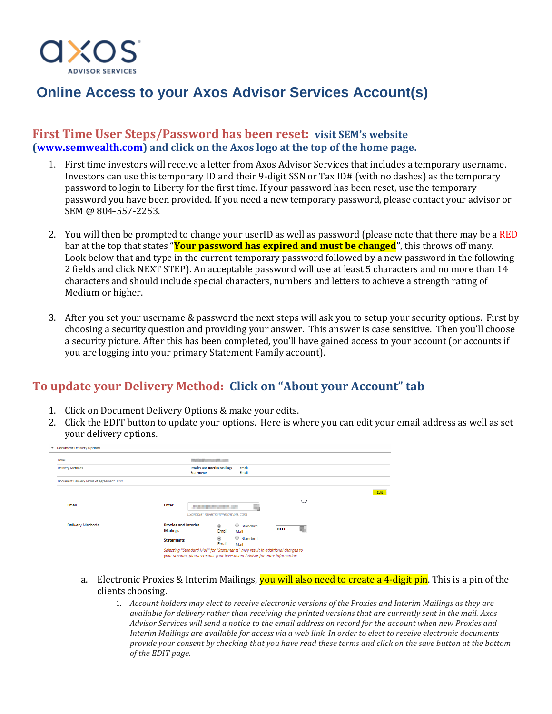

# **Online Access to your Axos Advisor Services Account(s)**

#### **First Time User Steps/Password has been reset: visit SEM's website [\(www.semwealth.com\)](http://www.semwealth.com/) and click on the Axos logo at the top of the home page.**

- 1. First time investors will receive a letter from Axos Advisor Services that includes a temporary username. Investors can use this temporary ID and their 9-digit SSN or Tax ID# (with no dashes) as the temporary password to login to Liberty for the first time. If your password has been reset, use the temporary password you have been provided. If you need a new temporary password, please contact your advisor or SEM @ 804-557-2253.
- 2. You will then be prompted to change your userID as well as password (please note that there may be a RED bar at the top that states "**Your password has expired and must be changed"**, this throws off many. Look below that and type in the current temporary password followed by a new password in the following 2 fields and click NEXT STEP). An acceptable password will use at least 5 characters and no more than 14 characters and should include special characters, numbers and letters to achieve a strength rating of Medium or higher.
- 3. After you set your username & password the next steps will ask you to setup your security options. First by choosing a security question and providing your answer. This answer is case sensitive. Then you'll choose a security picture. After this has been completed, you'll have gained access to your account (or accounts if you are logging into your primary Statement Family account).

## **To update your Delivery Method: Click on "About your Account" tab**

- 1. Click on Document Delivery Options & make your edits.
- 2. Click the EDIT button to update your options. Here is where you can edit your email address as well as set your delivery options.

| Document Delivery Options                 |                                               |                                                                                                                                                              |                       |  |  |  |      |  |
|-------------------------------------------|-----------------------------------------------|--------------------------------------------------------------------------------------------------------------------------------------------------------------|-----------------------|--|--|--|------|--|
| Email                                     |                                               | <b>PERSONAL PROPERTY</b>                                                                                                                                     |                       |  |  |  |      |  |
| <b>Delivery Methods</b>                   | <b>Statements</b>                             | <b>Proxies and Interim Mailings</b>                                                                                                                          | Email<br><b>Email</b> |  |  |  |      |  |
| Document Delivery Terms of Agreement show |                                               |                                                                                                                                                              |                       |  |  |  |      |  |
|                                           |                                               |                                                                                                                                                              |                       |  |  |  | Edit |  |
| Email                                     | <b>Enter</b>                                  | Example: myemail@example.com                                                                                                                                 |                       |  |  |  |      |  |
| Delivery Methods                          | <b>Proxies and Interim</b><br><b>Mailings</b> | $\circledcirc$<br>Email                                                                                                                                      | Standard<br>Mail      |  |  |  |      |  |
|                                           | <b>Statements</b>                             | $\circledcirc$<br>Email                                                                                                                                      | Standard<br>Mail      |  |  |  |      |  |
|                                           |                                               | Selecting "Standard Mail" for "Statements" may result in additional charges to<br>your account, please contact your Investment Advisor for more information. |                       |  |  |  |      |  |

- a. Electronic Proxies & Interim Mailings, **you will also need to create a 4-digit pin**. This is a pin of the clients choosing.
	- i. *Account holders may elect to receive electronic versions of the Proxies and Interim Mailings as they are available for delivery rather than receiving the printed versions that are currently sent in the mail. Axos Advisor Services will send a notice to the email address on record for the account when new Proxies and Interim Mailings are available for access via a web link. In order to elect to receive electronic documents provide your consent by checking that you have read these terms and click on the save button at the bottom of the EDIT page.*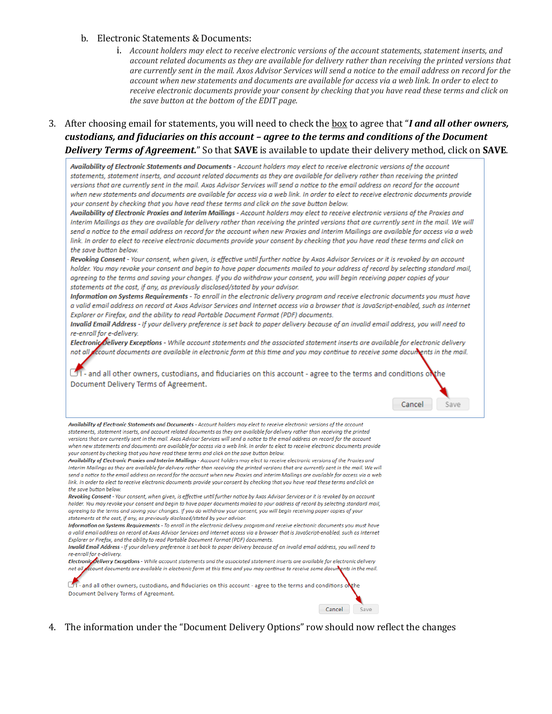#### b. Electronic Statements & Documents:

- i. Account holders may elect to receive electronic versions of the account statements, statement inserts, and account related documents as they are available for delivery rather than receiving the printed versions that are currently sent in the mail. Axos Advisor Services will send a notice to the email address on record for the account when new statements and documents are available for access via a web link. In order to elect to receive electronic documents provide your consent by checking that you have read these terms and click on the save button at the bottom of the EDIT page.
- 3. After choosing email for statements, you will need to check the box to agree that "I and all other owners, custodians, and fiduciaries on this account - agree to the terms and conditions of the Document **Delivery Terms of Agreement.**" So that **SAVE** is available to update their delivery method, click on **SAVE**.

Availability of Electronic Statements and Documents - Account holders may elect to receive electronic versions of the account statements, statement inserts, and account related documents as they are available for delivery rather than receiving the printed versions that are currently sent in the mail. Axos Advisor Services will send a notice to the email address on record for the account when new statements and documents are available for access via a web link. In order to elect to receive electronic documents provide your consent by checking that you have read these terms and click on the save button below.

Availability of Electronic Proxies and Interim Mailings - Account holders may elect to receive electronic versions of the Proxies and Interim Mailings as they are available for delivery rather than receiving the printed versions that are currently sent in the mail. We will send a notice to the email address on record for the account when new Proxies and Interim Mailings are available for access via a web link. In order to elect to receive electronic documents provide your consent by checking that you have read these terms and click on the save button below.

Revoking Consent - Your consent, when given, is effective until further notice by Axos Advisor Services or it is revoked by an account holder. You may revoke your consent and begin to have paper documents mailed to your address of record by selecting standard mail, agreeing to the terms and saving your changes. If you do withdraw your consent, you will begin receiving paper copies of your statements at the cost, if any, as previously disclosed/stated by your advisor.

Information on Systems Requirements - To enroll in the electronic delivery program and receive electronic documents you must have a valid email address on record at Axos Advisor Services and Internet access via a browser that is JavaScript-enabled, such as Internet Explorer or Firefox, and the ability to read Portable Document Format (PDF) documents.

Invalid Email Address - If your delivery preference is set back to paper delivery because of an invalid email address, you will need to re-enroll for e-delivery.

Electronic Delivery Exceptions - While account statements and the associated statement inserts are available for electronic delivery not all *fecount documents are available in electronic form at this time and you may continue to receive some documents in the mail.* 

1- and all other owners, custodians, and fiduciaries on this account - agree to the terms and conditions on the Document Delivery Terms of Agreement.

Cancel

Save

Availability of Electronic Statements and Documents - Account holders may elect to receive electronic versions of the account statements, statement inserts, and account related documents as they are available for delivery rather than receiving the printed versions that are currently sent in the mail. Axos Advisor Services will send a notice to the email address on record for the account when new statements and documents are available for access via a web link. In order to elect to receive electronic documents provide your consent by checking that you have read these terms and click on the save button below.

Availability of Electronic Proxies and Interim Mailinas - Account holders may elect to receive electronic versions of the Proxies and Interim Mailings as they are available for delivery rather than receiving the printed versions that are currently sent in the mail. We will send a notice to the email address on record for the account when new Proxies and Interim Mailinas are available for access via a web link. In order to elect to receive electronic documents provide your consent by checking that you have read these terms and click on the save button below.

Revoking Consent - Your consent, when given, is effective until further notice by Axos Advisor Services or it is revoked by an account holder. You may revoke your consent and begin to have paper documents mailed to your address of record by selecting standard mail, agreeing to the terms and saving your changes. If you do withdraw your consent, you will begin receiving paper copies of your statements at the cost, if any, as previously disclosed/stated by your advisor.

Information on Systems Requirements - To enroll in the electronic delivery program and receive electronic documents you must have a valid email address on record at Axos Advisor Services and Internet access via a browser that is JavaScript-enabled, such as Internet Explorer or Firefox, and the ability to read Portable Document Format (PDF) documents.

Invalid Email Address - If your delivery preference is set back to paper delivery because of an invalid email address, you will need to re-enroll for e-delivery.

Electronic Delivery Exceptions - While account statements and the associated statement inserts are available for electronic delivery not all ccount documents are available in electronic form at this time and you may continue to receive some documents in the mail.

OT- and all other owners, custodians, and fiduciaries on this account - agree to the terms and conditions of Document Delivery Terms of Agreement.

4. The information under the "Document Delivery Options" row should now reflect the changes

Cancel Save